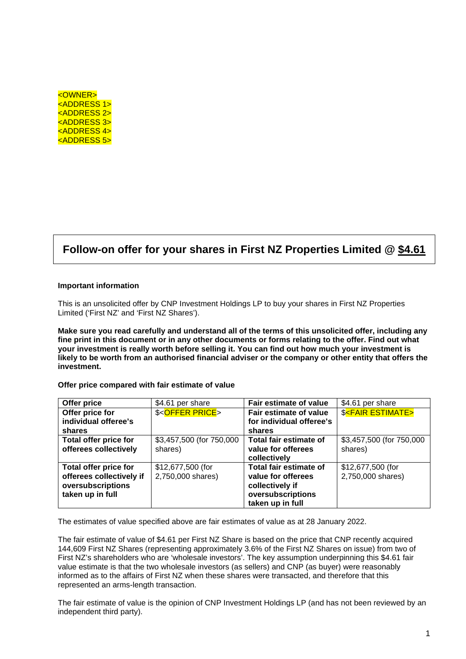| <owner></owner>                 |  |
|---------------------------------|--|
| <u><address 1=""></address></u> |  |
| <u><address 2=""></address></u> |  |
| <u><address 3=""></address></u> |  |
| <u><address 4=""></address></u> |  |
| <address 5=""></address>        |  |

# **Follow-on offer for your shares in First NZ Properties Limited @ \$4.61**

#### **Important information**

This is an unsolicited offer by CNP Investment Holdings LP to buy your shares in First NZ Properties Limited ('First NZ' and 'First NZ Shares').

**Make sure you read carefully and understand all of the terms of this unsolicited offer, including any fine print in this document or in any other documents or forms relating to the offer. Find out what your investment is really worth before selling it. You can find out how much your investment is likely to be worth from an authorised financial adviser or the company or other entity that offers the investment.** 

#### **Offer price compared with fair estimate of value**

| Offer price                  | \$4.61 per share            | Fair estimate of value   | \$4.61 per share                   |
|------------------------------|-----------------------------|--------------------------|------------------------------------|
| Offer price for              | \$ <offer price=""></offer> | Fair estimate of value   | <b>\$<fair estimate=""></fair></b> |
| individual offeree's         |                             | for individual offeree's |                                    |
| shares                       |                             | shares                   |                                    |
| Total offer price for        | \$3,457,500 (for 750,000    | Total fair estimate of   | \$3,457,500 (for 750,000           |
| offerees collectively        | shares)                     | value for offerees       | shares)                            |
|                              |                             | collectively             |                                    |
| <b>Total offer price for</b> | \$12,677,500 (for           | Total fair estimate of   | \$12,677,500 (for                  |
| offerees collectively if     | 2,750,000 shares)           | value for offerees       | 2,750,000 shares)                  |
| oversubscriptions            |                             | collectively if          |                                    |
| taken up in full             |                             | oversubscriptions        |                                    |
|                              |                             | taken up in full         |                                    |

The estimates of value specified above are fair estimates of value as at 28 January 2022.

The fair estimate of value of \$4.61 per First NZ Share is based on the price that CNP recently acquired 144,609 First NZ Shares (representing approximately 3.6% of the First NZ Shares on issue) from two of First NZ's shareholders who are 'wholesale investors'. The key assumption underpinning this \$4.61 fair value estimate is that the two wholesale investors (as sellers) and CNP (as buyer) were reasonably informed as to the affairs of First NZ when these shares were transacted, and therefore that this represented an arms-length transaction.

The fair estimate of value is the opinion of CNP Investment Holdings LP (and has not been reviewed by an independent third party).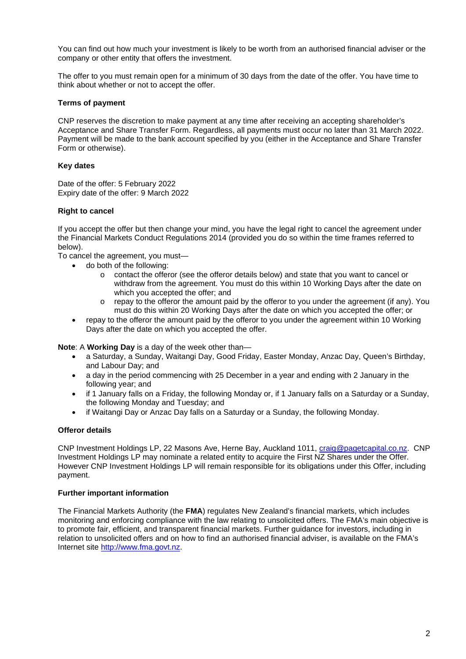You can find out how much your investment is likely to be worth from an authorised financial adviser or the company or other entity that offers the investment.

The offer to you must remain open for a minimum of 30 days from the date of the offer. You have time to think about whether or not to accept the offer.

# **Terms of payment**

CNP reserves the discretion to make payment at any time after receiving an accepting shareholder's Acceptance and Share Transfer Form. Regardless, all payments must occur no later than 31 March 2022. Payment will be made to the bank account specified by you (either in the Acceptance and Share Transfer Form or otherwise).

### **Key dates**

Date of the offer: 5 February 2022 Expiry date of the offer: 9 March 2022

# **Right to cancel**

If you accept the offer but then change your mind, you have the legal right to cancel the agreement under the Financial Markets Conduct Regulations 2014 (provided you do so within the time frames referred to below).

To cancel the agreement, you must—

- do both of the following:
	- o contact the offeror (see the offeror details below) and state that you want to cancel or withdraw from the agreement. You must do this within 10 Working Days after the date on which you accepted the offer; and
	- o repay to the offeror the amount paid by the offeror to you under the agreement (if any). You must do this within 20 Working Days after the date on which you accepted the offer; or
- repay to the offeror the amount paid by the offeror to you under the agreement within 10 Working Days after the date on which you accepted the offer.

**Note**: A **Working Day** is a day of the week other than—

- a Saturday, a Sunday, Waitangi Day, Good Friday, Easter Monday, Anzac Day, Queen's Birthday, and Labour Day; and
- a day in the period commencing with 25 December in a year and ending with 2 January in the following year; and
- if 1 January falls on a Friday, the following Monday or, if 1 January falls on a Saturday or a Sunday, the following Monday and Tuesday; and
- if Waitangi Day or Anzac Day falls on a Saturday or a Sunday, the following Monday.

# **Offeror details**

CNP Investment Holdings LP, 22 Masons Ave, Herne Bay, Auckland 1011, craig@pagetcapital.co.nz. CNP Investment Holdings LP may nominate a related entity to acquire the First NZ Shares under the Offer. However CNP Investment Holdings LP will remain responsible for its obligations under this Offer, including payment.

#### **Further important information**

The Financial Markets Authority (the **FMA**) regulates New Zealand's financial markets, which includes monitoring and enforcing compliance with the law relating to unsolicited offers. The FMA's main objective is to promote fair, efficient, and transparent financial markets. Further guidance for investors, including in relation to unsolicited offers and on how to find an authorised financial adviser, is available on the FMA's Internet site http://www.fma.govt.nz.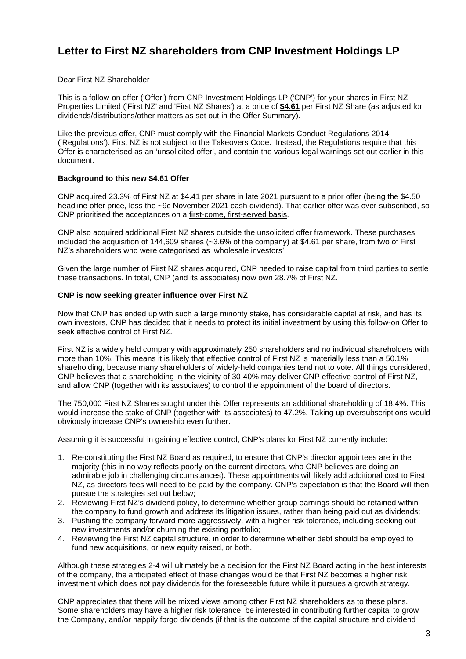# **Letter to First NZ shareholders from CNP Investment Holdings LP**

Dear First NZ Shareholder

This is a follow-on offer ('Offer') from CNP Investment Holdings LP ('CNP') for your shares in First NZ Properties Limited ('First NZ' and 'First NZ Shares') at a price of **\$4.61** per First NZ Share (as adjusted for dividends/distributions/other matters as set out in the Offer Summary).

Like the previous offer, CNP must comply with the Financial Markets Conduct Regulations 2014 ('Regulations'). First NZ is not subject to the Takeovers Code. Instead, the Regulations require that this Offer is characterised as an 'unsolicited offer', and contain the various legal warnings set out earlier in this document.

# **Background to this new \$4.61 Offer**

CNP acquired 23.3% of First NZ at \$4.41 per share in late 2021 pursuant to a prior offer (being the \$4.50 headline offer price, less the ~9c November 2021 cash dividend). That earlier offer was over-subscribed, so CNP prioritised the acceptances on a first-come, first-served basis.

CNP also acquired additional First NZ shares outside the unsolicited offer framework. These purchases included the acquisition of 144,609 shares (~3.6% of the company) at \$4.61 per share, from two of First NZ's shareholders who were categorised as 'wholesale investors'.

Given the large number of First NZ shares acquired, CNP needed to raise capital from third parties to settle these transactions. In total, CNP (and its associates) now own 28.7% of First NZ.

## **CNP is now seeking greater influence over First NZ**

Now that CNP has ended up with such a large minority stake, has considerable capital at risk, and has its own investors, CNP has decided that it needs to protect its initial investment by using this follow-on Offer to seek effective control of First NZ.

First NZ is a widely held company with approximately 250 shareholders and no individual shareholders with more than 10%. This means it is likely that effective control of First NZ is materially less than a 50.1% shareholding, because many shareholders of widely-held companies tend not to vote. All things considered, CNP believes that a shareholding in the vicinity of 30-40% may deliver CNP effective control of First NZ, and allow CNP (together with its associates) to control the appointment of the board of directors.

The 750,000 First NZ Shares sought under this Offer represents an additional shareholding of 18.4%. This would increase the stake of CNP (together with its associates) to 47.2%. Taking up oversubscriptions would obviously increase CNP's ownership even further.

Assuming it is successful in gaining effective control, CNP's plans for First NZ currently include:

- 1. Re-constituting the First NZ Board as required, to ensure that CNP's director appointees are in the majority (this in no way reflects poorly on the current directors, who CNP believes are doing an admirable job in challenging circumstances). These appointments will likely add additional cost to First NZ, as directors fees will need to be paid by the company. CNP's expectation is that the Board will then pursue the strategies set out below;
- 2. Reviewing First NZ's dividend policy, to determine whether group earnings should be retained within the company to fund growth and address its litigation issues, rather than being paid out as dividends;
- 3. Pushing the company forward more aggressively, with a higher risk tolerance, including seeking out new investments and/or churning the existing portfolio;
- 4. Reviewing the First NZ capital structure, in order to determine whether debt should be employed to fund new acquisitions, or new equity raised, or both.

Although these strategies 2-4 will ultimately be a decision for the First NZ Board acting in the best interests of the company, the anticipated effect of these changes would be that First NZ becomes a higher risk investment which does not pay dividends for the foreseeable future while it pursues a growth strategy.

CNP appreciates that there will be mixed views among other First NZ shareholders as to these plans. Some shareholders may have a higher risk tolerance, be interested in contributing further capital to grow the Company, and/or happily forgo dividends (if that is the outcome of the capital structure and dividend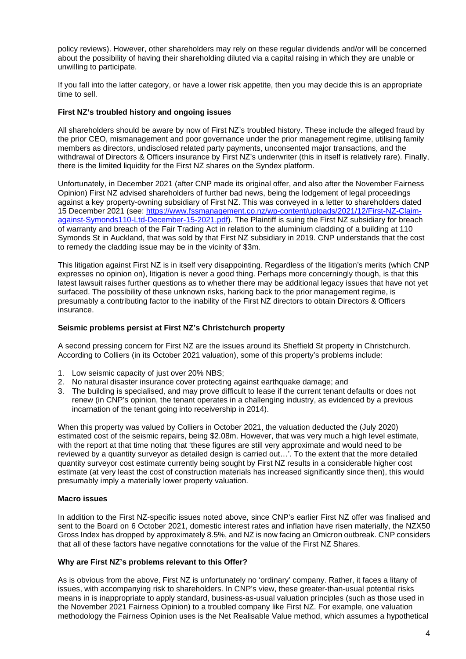policy reviews). However, other shareholders may rely on these regular dividends and/or will be concerned about the possibility of having their shareholding diluted via a capital raising in which they are unable or unwilling to participate.

If you fall into the latter category, or have a lower risk appetite, then you may decide this is an appropriate time to sell.

# **First NZ's troubled history and ongoing issues**

All shareholders should be aware by now of First NZ's troubled history. These include the alleged fraud by the prior CEO, mismanagement and poor governance under the prior management regime, utilising family members as directors, undisclosed related party payments, unconsented major transactions, and the withdrawal of Directors & Officers insurance by First NZ's underwriter (this in itself is relatively rare). Finally, there is the limited liquidity for the First NZ shares on the Syndex platform.

Unfortunately, in December 2021 (after CNP made its original offer, and also after the November Fairness Opinion) First NZ advised shareholders of further bad news, being the lodgement of legal proceedings against a key property-owning subsidiary of First NZ. This was conveyed in a letter to shareholders dated 15 December 2021 (see: https://www.fssmanagement.co.nz/wp-content/uploads/2021/12/First-NZ-Claimagainst-Symonds110-Ltd-December-15-2021.pdf). The Plaintiff is suing the First NZ subsidiary for breach of warranty and breach of the Fair Trading Act in relation to the aluminium cladding of a building at 110 Symonds St in Auckland, that was sold by that First NZ subsidiary in 2019. CNP understands that the cost to remedy the cladding issue may be in the vicinity of \$3m.

This litigation against First NZ is in itself very disappointing. Regardless of the litigation's merits (which CNP expresses no opinion on), litigation is never a good thing. Perhaps more concerningly though, is that this latest lawsuit raises further questions as to whether there may be additional legacy issues that have not yet surfaced. The possibility of these unknown risks, harking back to the prior management regime, is presumably a contributing factor to the inability of the First NZ directors to obtain Directors & Officers insurance.

# **Seismic problems persist at First NZ's Christchurch property**

A second pressing concern for First NZ are the issues around its Sheffield St property in Christchurch. According to Colliers (in its October 2021 valuation), some of this property's problems include:

- 1. Low seismic capacity of just over 20% NBS;
- 2. No natural disaster insurance cover protecting against earthquake damage; and
- 3. The building is specialised, and may prove difficult to lease if the current tenant defaults or does not renew (in CNP's opinion, the tenant operates in a challenging industry, as evidenced by a previous incarnation of the tenant going into receivership in 2014).

When this property was valued by Colliers in October 2021, the valuation deducted the (July 2020) estimated cost of the seismic repairs, being \$2.08m. However, that was very much a high level estimate, with the report at that time noting that 'these figures are still very approximate and would need to be reviewed by a quantity surveyor as detailed design is carried out…'. To the extent that the more detailed quantity surveyor cost estimate currently being sought by First NZ results in a considerable higher cost estimate (at very least the cost of construction materials has increased significantly since then), this would presumably imply a materially lower property valuation.

# **Macro issues**

In addition to the First NZ-specific issues noted above, since CNP's earlier First NZ offer was finalised and sent to the Board on 6 October 2021, domestic interest rates and inflation have risen materially, the NZX50 Gross Index has dropped by approximately 8.5%, and NZ is now facing an Omicron outbreak. CNP considers that all of these factors have negative connotations for the value of the First NZ Shares.

#### **Why are First NZ's problems relevant to this Offer?**

As is obvious from the above, First NZ is unfortunately no 'ordinary' company. Rather, it faces a litany of issues, with accompanying risk to shareholders. In CNP's view, these greater-than-usual potential risks means in is inappropriate to apply standard, business-as-usual valuation principles (such as those used in the November 2021 Fairness Opinion) to a troubled company like First NZ. For example, one valuation methodology the Fairness Opinion uses is the Net Realisable Value method, which assumes a hypothetical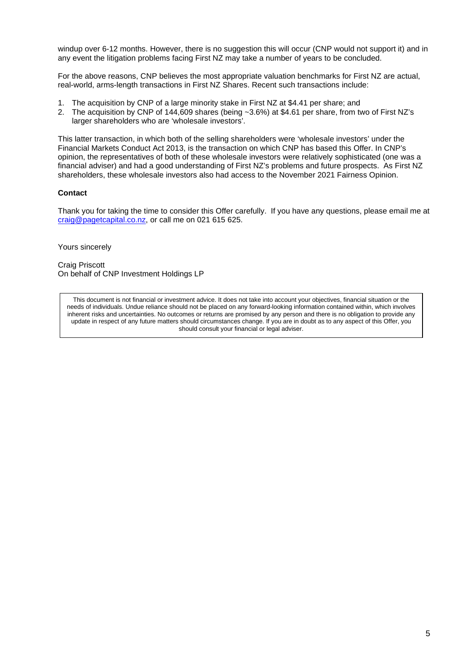windup over 6-12 months. However, there is no suggestion this will occur (CNP would not support it) and in any event the litigation problems facing First NZ may take a number of years to be concluded.

For the above reasons, CNP believes the most appropriate valuation benchmarks for First NZ are actual, real-world, arms-length transactions in First NZ Shares. Recent such transactions include:

- 1. The acquisition by CNP of a large minority stake in First NZ at \$4.41 per share; and
- 2. The acquisition by CNP of 144,609 shares (being ~3.6%) at \$4.61 per share, from two of First NZ's larger shareholders who are 'wholesale investors'.

This latter transaction, in which both of the selling shareholders were 'wholesale investors' under the Financial Markets Conduct Act 2013, is the transaction on which CNP has based this Offer. In CNP's opinion, the representatives of both of these wholesale investors were relatively sophisticated (one was a financial adviser) and had a good understanding of First NZ's problems and future prospects. As First NZ shareholders, these wholesale investors also had access to the November 2021 Fairness Opinion.

# **Contact**

Thank you for taking the time to consider this Offer carefully. If you have any questions, please email me at craig@pagetcapital.co.nz, or call me on 021 615 625.

Yours sincerely

Craig Priscott On behalf of CNP Investment Holdings LP

This document is not financial or investment advice. It does not take into account your objectives, financial situation or the needs of individuals. Undue reliance should not be placed on any forward-looking information contained within, which involves inherent risks and uncertainties. No outcomes or returns are promised by any person and there is no obligation to provide any update in respect of any future matters should circumstances change. If you are in doubt as to any aspect of this Offer, you should consult your financial or legal adviser.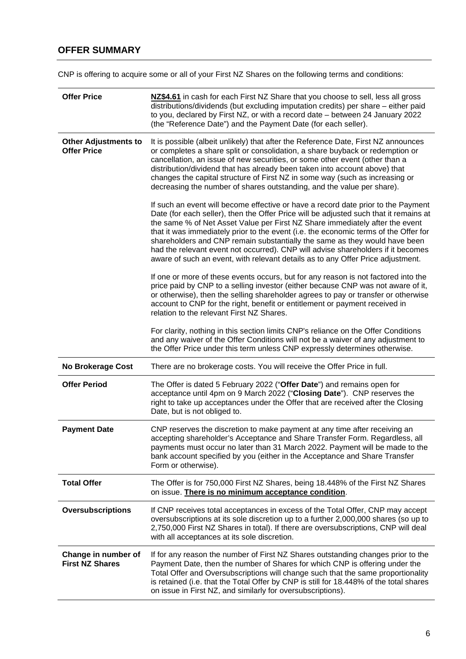# **OFFER SUMMARY**

CNP is offering to acquire some or all of your First NZ Shares on the following terms and conditions:

| <b>Offer Price</b>                                | NZ\$4.61 in cash for each First NZ Share that you choose to sell, less all gross<br>distributions/dividends (but excluding imputation credits) per share - either paid<br>to you, declared by First NZ, or with a record date - between 24 January 2022<br>(the "Reference Date") and the Payment Date (for each seller).                                                                                                                                                                                                                                                                               |  |  |  |
|---------------------------------------------------|---------------------------------------------------------------------------------------------------------------------------------------------------------------------------------------------------------------------------------------------------------------------------------------------------------------------------------------------------------------------------------------------------------------------------------------------------------------------------------------------------------------------------------------------------------------------------------------------------------|--|--|--|
| <b>Other Adjustments to</b><br><b>Offer Price</b> | It is possible (albeit unlikely) that after the Reference Date, First NZ announces<br>or completes a share split or consolidation, a share buyback or redemption or<br>cancellation, an issue of new securities, or some other event (other than a<br>distribution/dividend that has already been taken into account above) that<br>changes the capital structure of First NZ in some way (such as increasing or<br>decreasing the number of shares outstanding, and the value per share).                                                                                                              |  |  |  |
|                                                   | If such an event will become effective or have a record date prior to the Payment<br>Date (for each seller), then the Offer Price will be adjusted such that it remains at<br>the same % of Net Asset Value per First NZ Share immediately after the event<br>that it was immediately prior to the event (i.e. the economic terms of the Offer for<br>shareholders and CNP remain substantially the same as they would have been<br>had the relevant event not occurred). CNP will advise shareholders if it becomes<br>aware of such an event, with relevant details as to any Offer Price adjustment. |  |  |  |
|                                                   | If one or more of these events occurs, but for any reason is not factored into the<br>price paid by CNP to a selling investor (either because CNP was not aware of it,<br>or otherwise), then the selling shareholder agrees to pay or transfer or otherwise<br>account to CNP for the right, benefit or entitlement or payment received in<br>relation to the relevant First NZ Shares.                                                                                                                                                                                                                |  |  |  |
|                                                   | For clarity, nothing in this section limits CNP's reliance on the Offer Conditions<br>and any waiver of the Offer Conditions will not be a waiver of any adjustment to<br>the Offer Price under this term unless CNP expressly determines otherwise.                                                                                                                                                                                                                                                                                                                                                    |  |  |  |
| <b>No Brokerage Cost</b>                          | There are no brokerage costs. You will receive the Offer Price in full.                                                                                                                                                                                                                                                                                                                                                                                                                                                                                                                                 |  |  |  |
| <b>Offer Period</b>                               | The Offer is dated 5 February 2022 ("Offer Date") and remains open for<br>acceptance until 4pm on 9 March 2022 ("Closing Date"). CNP reserves the<br>right to take up acceptances under the Offer that are received after the Closing<br>Date, but is not obliged to.                                                                                                                                                                                                                                                                                                                                   |  |  |  |
| <b>Payment Date</b>                               | CNP reserves the discretion to make payment at any time after receiving an<br>accepting shareholder's Acceptance and Share Transfer Form. Regardless, all<br>payments must occur no later than 31 March 2022. Payment will be made to the<br>bank account specified by you (either in the Acceptance and Share Transfer<br>Form or otherwise).                                                                                                                                                                                                                                                          |  |  |  |
| <b>Total Offer</b>                                | The Offer is for 750,000 First NZ Shares, being 18.448% of the First NZ Shares<br>on issue. There is no minimum acceptance condition.                                                                                                                                                                                                                                                                                                                                                                                                                                                                   |  |  |  |
| <b>Oversubscriptions</b>                          | If CNP receives total acceptances in excess of the Total Offer, CNP may accept<br>oversubscriptions at its sole discretion up to a further 2,000,000 shares (so up to<br>2,750,000 First NZ Shares in total). If there are oversubscriptions, CNP will deal<br>with all acceptances at its sole discretion.                                                                                                                                                                                                                                                                                             |  |  |  |
| Change in number of<br><b>First NZ Shares</b>     | If for any reason the number of First NZ Shares outstanding changes prior to the<br>Payment Date, then the number of Shares for which CNP is offering under the<br>Total Offer and Oversubscriptions will change such that the same proportionality<br>is retained (i.e. that the Total Offer by CNP is still for 18.448% of the total shares<br>on issue in First NZ, and similarly for oversubscriptions).                                                                                                                                                                                            |  |  |  |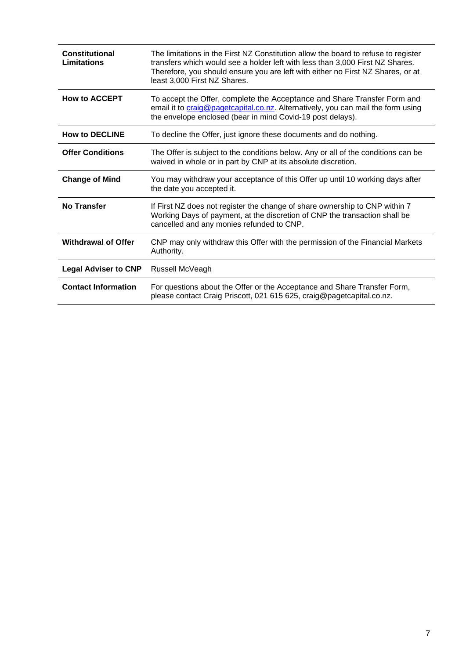| <b>Constitutional</b><br>Limitations | The limitations in the First NZ Constitution allow the board to refuse to register<br>transfers which would see a holder left with less than 3,000 First NZ Shares.<br>Therefore, you should ensure you are left with either no First NZ Shares, or at<br>least 3,000 First NZ Shares. |
|--------------------------------------|----------------------------------------------------------------------------------------------------------------------------------------------------------------------------------------------------------------------------------------------------------------------------------------|
| <b>How to ACCEPT</b>                 | To accept the Offer, complete the Acceptance and Share Transfer Form and<br>email it to craig@pagetcapital.co.nz. Alternatively, you can mail the form using<br>the envelope enclosed (bear in mind Covid-19 post delays).                                                             |
| <b>How to DECLINE</b>                | To decline the Offer, just ignore these documents and do nothing.                                                                                                                                                                                                                      |
| <b>Offer Conditions</b>              | The Offer is subject to the conditions below. Any or all of the conditions can be<br>waived in whole or in part by CNP at its absolute discretion.                                                                                                                                     |
| <b>Change of Mind</b>                | You may withdraw your acceptance of this Offer up until 10 working days after<br>the date you accepted it.                                                                                                                                                                             |
| No Transfer                          | If First NZ does not register the change of share ownership to CNP within 7<br>Working Days of payment, at the discretion of CNP the transaction shall be<br>cancelled and any monies refunded to CNP.                                                                                 |
| <b>Withdrawal of Offer</b>           | CNP may only withdraw this Offer with the permission of the Financial Markets<br>Authority.                                                                                                                                                                                            |
| <b>Legal Adviser to CNP</b>          | Russell McVeagh                                                                                                                                                                                                                                                                        |
| <b>Contact Information</b>           | For questions about the Offer or the Acceptance and Share Transfer Form,<br>please contact Craig Priscott, 021 615 625, craig@pagetcapital.co.nz.                                                                                                                                      |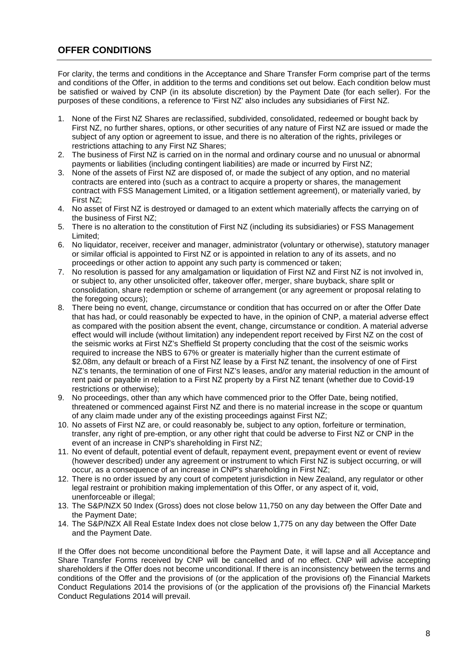# **OFFER CONDITIONS**

For clarity, the terms and conditions in the Acceptance and Share Transfer Form comprise part of the terms and conditions of the Offer, in addition to the terms and conditions set out below. Each condition below must be satisfied or waived by CNP (in its absolute discretion) by the Payment Date (for each seller). For the purposes of these conditions, a reference to 'First NZ' also includes any subsidiaries of First NZ.

- 1. None of the First NZ Shares are reclassified, subdivided, consolidated, redeemed or bought back by First NZ, no further shares, options, or other securities of any nature of First NZ are issued or made the subject of any option or agreement to issue, and there is no alteration of the rights, privileges or restrictions attaching to any First NZ Shares;
- 2. The business of First NZ is carried on in the normal and ordinary course and no unusual or abnormal payments or liabilities (including contingent liabilities) are made or incurred by First NZ;
- 3. None of the assets of First NZ are disposed of, or made the subject of any option, and no material contracts are entered into (such as a contract to acquire a property or shares, the management contract with FSS Management Limited, or a litigation settlement agreement), or materially varied, by First NZ;
- 4. No asset of First NZ is destroyed or damaged to an extent which materially affects the carrying on of the business of First NZ;
- 5. There is no alteration to the constitution of First NZ (including its subsidiaries) or FSS Management Limited;
- 6. No liquidator, receiver, receiver and manager, administrator (voluntary or otherwise), statutory manager or similar official is appointed to First NZ or is appointed in relation to any of its assets, and no proceedings or other action to appoint any such party is commenced or taken;
- 7. No resolution is passed for any amalgamation or liquidation of First NZ and First NZ is not involved in, or subject to, any other unsolicited offer, takeover offer, merger, share buyback, share split or consolidation, share redemption or scheme of arrangement (or any agreement or proposal relating to the foregoing occurs);
- 8. There being no event, change, circumstance or condition that has occurred on or after the Offer Date that has had, or could reasonably be expected to have, in the opinion of CNP, a material adverse effect as compared with the position absent the event, change, circumstance or condition. A material adverse effect would will include (without limitation) any independent report received by First NZ on the cost of the seismic works at First NZ's Sheffield St property concluding that the cost of the seismic works required to increase the NBS to 67% or greater is materially higher than the current estimate of \$2.08m, any default or breach of a First NZ lease by a First NZ tenant, the insolvency of one of First NZ's tenants, the termination of one of First NZ's leases, and/or any material reduction in the amount of rent paid or payable in relation to a First NZ property by a First NZ tenant (whether due to Covid-19 restrictions or otherwise);
- 9. No proceedings, other than any which have commenced prior to the Offer Date, being notified, threatened or commenced against First NZ and there is no material increase in the scope or quantum of any claim made under any of the existing proceedings against First NZ;
- 10. No assets of First NZ are, or could reasonably be, subject to any option, forfeiture or termination, transfer, any right of pre-emption, or any other right that could be adverse to First NZ or CNP in the event of an increase in CNP's shareholding in First NZ;
- 11. No event of default, potential event of default, repayment event, prepayment event or event of review (however described) under any agreement or instrument to which First NZ is subject occurring, or will occur, as a consequence of an increase in CNP's shareholding in First NZ;
- 12. There is no order issued by any court of competent jurisdiction in New Zealand, any regulator or other legal restraint or prohibition making implementation of this Offer, or any aspect of it, void, unenforceable or illegal;
- 13. The S&P/NZX 50 Index (Gross) does not close below 11,750 on any day between the Offer Date and the Payment Date;
- 14. The S&P/NZX All Real Estate Index does not close below 1,775 on any day between the Offer Date and the Payment Date.

If the Offer does not become unconditional before the Payment Date, it will lapse and all Acceptance and Share Transfer Forms received by CNP will be cancelled and of no effect. CNP will advise accepting shareholders if the Offer does not become unconditional. If there is an inconsistency between the terms and conditions of the Offer and the provisions of (or the application of the provisions of) the Financial Markets Conduct Regulations 2014 the provisions of (or the application of the provisions of) the Financial Markets Conduct Regulations 2014 will prevail.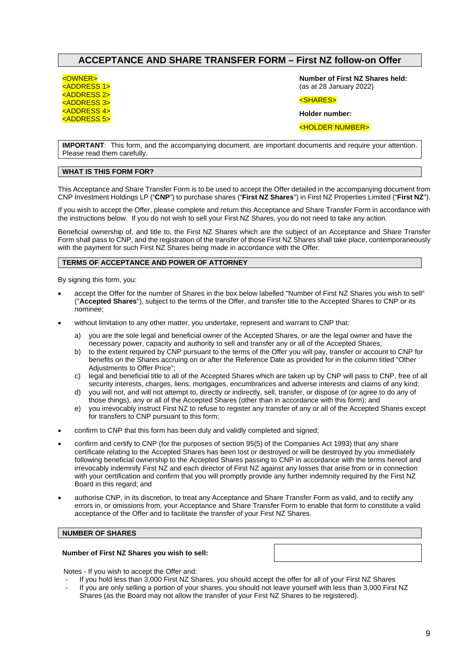# **ACCEPTANCE AND SHARE TRANSFER FORM – First NZ follow-on Offer**

<OWNER>

<ADDRESS 1> <ADDRESS 2> <ADDRESS 3> <ADDRESS 4> <ADDRESS 5> **Number of First NZ Shares held:** (as at 28 January 2022)

<SHARES>

**Holder number:** 

<HOLDER NUMBER>

**IMPORTANT**: This form, and the accompanying document, are important documents and require your attention. Please read them carefully.

#### **WHAT IS THIS FORM FOR?**

This Acceptance and Share Transfer Form is to be used to accept the Offer detailed in the accompanying document from CNP Investment Holdings LP ("**CNP**") to purchase shares ("**First NZ Shares**") in First NZ Properties Limited ("**First NZ**").

If you wish to accept the Offer, please complete and return this Acceptance and Share Transfer Form in accordance with the instructions below. If you do not wish to sell your First NZ Shares, you do not need to take any action.

Beneficial ownership of, and title to, the First NZ Shares which are the subject of an Acceptance and Share Transfer Form shall pass to CNP, and the registration of the transfer of those First NZ Shares shall take place, contemporaneously with the payment for such First NZ Shares being made in accordance with the Offer.

#### **TERMS OF ACCEPTANCE AND POWER OF ATTORNEY**

By signing this form, you:

- accept the Offer for the number of Shares in the box below labelled "Number of First NZ Shares you wish to sell" ("**Accepted Shares**"), subject to the terms of the Offer, and transfer title to the Accepted Shares to CNP or its nominee;
- without limitation to any other matter, you undertake, represent and warrant to CNP that:
	- a) you are the sole legal and beneficial owner of the Accepted Shares, or are the legal owner and have the necessary power, capacity and authority to sell and transfer any or all of the Accepted Shares;
	- b) to the extent required by CNP pursuant to the terms of the Offer you will pay, transfer or account to CNP for benefits on the Shares accruing on or after the Reference Date as provided for in the column titled "Other Adjustments to Offer Price";
	- c) legal and beneficial title to all of the Accepted Shares which are taken up by CNP will pass to CNP, free of all security interests, charges, liens, mortgages, encumbrances and adverse interests and claims of any kind;
	- d) you will not, and will not attempt to, directly or indirectly, sell, transfer, or dispose of (or agree to do any of those things), any or all of the Accepted Shares (other than in accordance with this form); and
	- e) you irrevocably instruct First NZ to refuse to register any transfer of any or all of the Accepted Shares except for transfers to CNP pursuant to this form;
- confirm to CNP that this form has been duly and validly completed and signed;
- confirm and certify to CNP (for the purposes of section 95(5) of the Companies Act 1993) that any share certificate relating to the Accepted Shares has been lost or destroyed or will be destroyed by you immediately following beneficial ownership to the Accepted Shares passing to CNP in accordance with the terms hereof and irrevocably indemnify First NZ and each director of First NZ against any losses that arise from or in connection with your certification and confirm that you will promptly provide any further indemnity required by the First NZ Board in this regard; and
- authorise CNP, in its discretion, to treat any Acceptance and Share Transfer Form as valid, and to rectify any errors in, or omissions from, your Acceptance and Share Transfer Form to enable that form to constitute a valid acceptance of the Offer and to facilitate the transfer of your First NZ Shares.

#### **NUMBER OF SHARES**

#### **Number of First NZ Shares you wish to sell:**

Notes - If you wish to accept the Offer and:

- If you hold less than 3,000 First NZ Shares, you should accept the offer for all of your First NZ Shares
- If you are only selling a portion of your shares, you should not leave yourself with less than 3,000 First NZ Shares (as the Board may not allow the transfer of your First NZ Shares to be registered).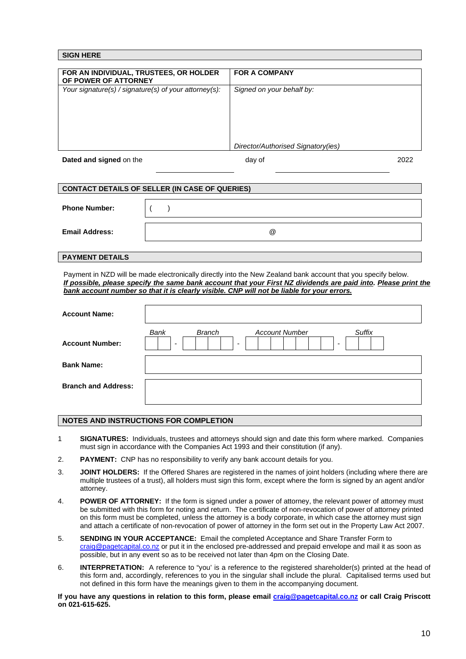| <b>SIGN HERE</b>                                               |                                    |      |
|----------------------------------------------------------------|------------------------------------|------|
|                                                                |                                    |      |
| FOR AN INDIVIDUAL, TRUSTEES, OR HOLDER<br>OF POWER OF ATTORNEY | <b>FOR A COMPANY</b>               |      |
| Your signature(s) / signature(s) of your attorney(s):          | Signed on your behalf by:          |      |
|                                                                |                                    |      |
|                                                                |                                    |      |
|                                                                |                                    |      |
|                                                                | Director/Authorised Signatory(ies) |      |
| Dated and signed on the                                        | day of                             | 2022 |

| <b>CONTACT DETAILS OF SELLER (IN CASE OF QUERIES)</b> |                      |  |  |
|-------------------------------------------------------|----------------------|--|--|
|                                                       |                      |  |  |
| <b>Phone Number:</b>                                  |                      |  |  |
|                                                       |                      |  |  |
| <b>Email Address:</b>                                 | $^{\textregistered}$ |  |  |
|                                                       |                      |  |  |

#### **PAYMENT DETAILS**

Payment in NZD will be made electronically directly into the New Zealand bank account that you specify below. *If possible, please specify the same bank account that your First NZ dividends are paid into. Please print the bank account number so that it is clearly visible. CNP will not be liable for your errors.* 

| <b>Account Name:</b>       |                                                                                                                                              |
|----------------------------|----------------------------------------------------------------------------------------------------------------------------------------------|
| <b>Account Number:</b>     | Bank<br><b>Branch</b><br>Suffix<br><b>Account Number</b><br>$\overline{\phantom{a}}$<br>$\overline{\phantom{a}}$<br>$\overline{\phantom{a}}$ |
| <b>Bank Name:</b>          |                                                                                                                                              |
| <b>Branch and Address:</b> |                                                                                                                                              |

#### **NOTES AND INSTRUCTIONS FOR COMPLETION**

- 1 **SIGNATURES:** Individuals, trustees and attorneys should sign and date this form where marked. Companies must sign in accordance with the Companies Act 1993 and their constitution (if any).
- 2. **PAYMENT:** CNP has no responsibility to verify any bank account details for you.
- 3. **JOINT HOLDERS:** If the Offered Shares are registered in the names of joint holders (including where there are multiple trustees of a trust), all holders must sign this form, except where the form is signed by an agent and/or attorney.
- 4. **POWER OF ATTORNEY:** If the form is signed under a power of attorney, the relevant power of attorney must be submitted with this form for noting and return. The certificate of non-revocation of power of attorney printed on this form must be completed, unless the attorney is a body corporate, in which case the attorney must sign and attach a certificate of non-revocation of power of attorney in the form set out in the Property Law Act 2007.
- 5. **SENDING IN YOUR ACCEPTANCE:** Email the completed Acceptance and Share Transfer Form to craig@pagetcapital.co.nz or put it in the enclosed pre-addressed and prepaid envelope and mail it as soon as possible, but in any event so as to be received not later than 4pm on the Closing Date.
- 6. **INTERPRETATION:** A reference to "you' is a reference to the registered shareholder(s) printed at the head of this form and, accordingly, references to you in the singular shall include the plural. Capitalised terms used but not defined in this form have the meanings given to them in the accompanying document.

If you have any questions in relation to this form, please email **craig@pagetcapital.co.nz** or call Craig Priscott **on 021-615-625.**